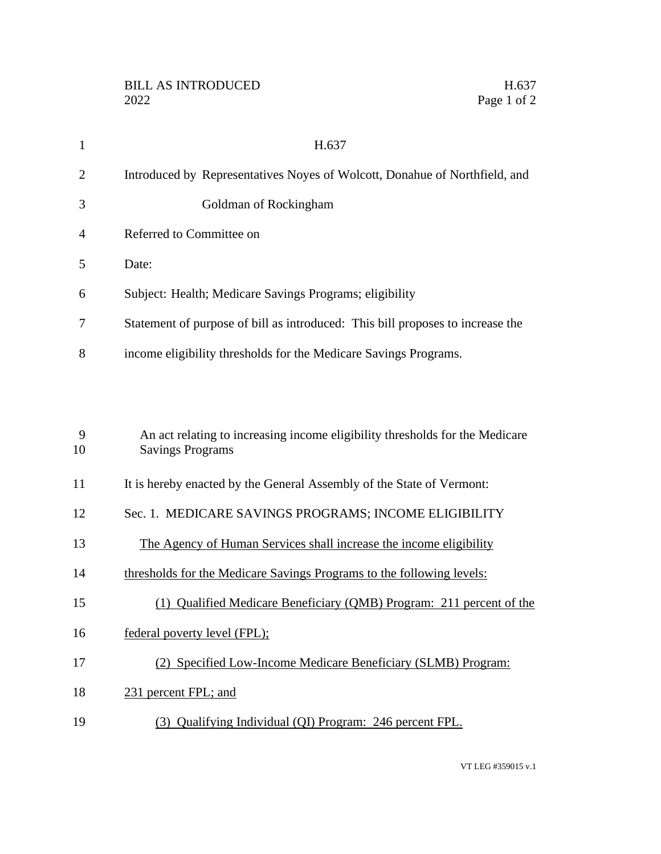| $\mathbf{1}$   | H.637                                                                                                   |
|----------------|---------------------------------------------------------------------------------------------------------|
| $\overline{2}$ | Introduced by Representatives Noyes of Wolcott, Donahue of Northfield, and                              |
| 3              | Goldman of Rockingham                                                                                   |
| $\overline{4}$ | Referred to Committee on                                                                                |
| 5              | Date:                                                                                                   |
| 6              | Subject: Health; Medicare Savings Programs; eligibility                                                 |
| 7              | Statement of purpose of bill as introduced: This bill proposes to increase the                          |
| 8              | income eligibility thresholds for the Medicare Savings Programs.                                        |
|                |                                                                                                         |
|                |                                                                                                         |
| 9<br>10        | An act relating to increasing income eligibility thresholds for the Medicare<br><b>Savings Programs</b> |
|                |                                                                                                         |
| 11             | It is hereby enacted by the General Assembly of the State of Vermont:                                   |
| 12             | Sec. 1. MEDICARE SAVINGS PROGRAMS; INCOME ELIGIBILITY                                                   |
| 13             | The Agency of Human Services shall increase the income eligibility                                      |
| 14             | thresholds for the Medicare Savings Programs to the following levels:                                   |
| 15             | (1) Qualified Medicare Beneficiary (QMB) Program: 211 percent of the                                    |

- 16 federal poverty level (FPL);
- (2) Specified Low-Income Medicare Beneficiary (SLMB) Program:
- 18 231 percent FPL; and
- (3) Qualifying Individual (QI) Program: 246 percent FPL.